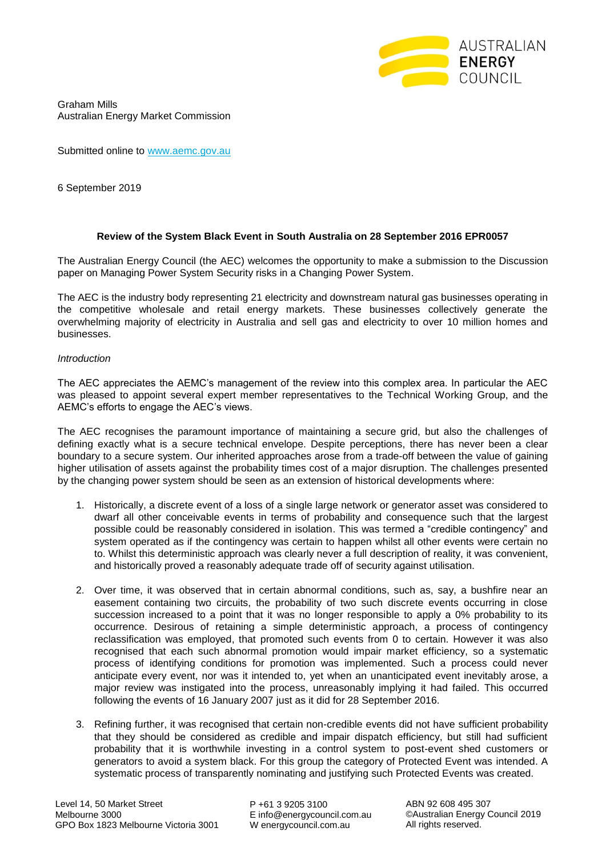

Graham Mills Australian Energy Market Commission

Submitted online to [www.aemc.gov.au](http://www.aemc.gov.au/)

6 September 2019

## **Review of the System Black Event in South Australia on 28 September 2016 EPR0057**

The Australian Energy Council (the AEC) welcomes the opportunity to make a submission to the Discussion paper on Managing Power System Security risks in a Changing Power System.

The AEC is the industry body representing 21 electricity and downstream natural gas businesses operating in the competitive wholesale and retail energy markets. These businesses collectively generate the overwhelming majority of electricity in Australia and sell gas and electricity to over 10 million homes and businesses.

## *Introduction*

The AEC appreciates the AEMC's management of the review into this complex area. In particular the AEC was pleased to appoint several expert member representatives to the Technical Working Group, and the AEMC's efforts to engage the AEC's views.

The AEC recognises the paramount importance of maintaining a secure grid, but also the challenges of defining exactly what is a secure technical envelope. Despite perceptions, there has never been a clear boundary to a secure system. Our inherited approaches arose from a trade-off between the value of gaining higher utilisation of assets against the probability times cost of a major disruption. The challenges presented by the changing power system should be seen as an extension of historical developments where:

- 1. Historically, a discrete event of a loss of a single large network or generator asset was considered to dwarf all other conceivable events in terms of probability and consequence such that the largest possible could be reasonably considered in isolation. This was termed a "credible contingency" and system operated as if the contingency was certain to happen whilst all other events were certain no to. Whilst this deterministic approach was clearly never a full description of reality, it was convenient, and historically proved a reasonably adequate trade off of security against utilisation.
- 2. Over time, it was observed that in certain abnormal conditions, such as, say, a bushfire near an easement containing two circuits, the probability of two such discrete events occurring in close succession increased to a point that it was no longer responsible to apply a 0% probability to its occurrence. Desirous of retaining a simple deterministic approach, a process of contingency reclassification was employed, that promoted such events from 0 to certain. However it was also recognised that each such abnormal promotion would impair market efficiency, so a systematic process of identifying conditions for promotion was implemented. Such a process could never anticipate every event, nor was it intended to, yet when an unanticipated event inevitably arose, a major review was instigated into the process, unreasonably implying it had failed. This occurred following the events of 16 January 2007 just as it did for 28 September 2016.
- 3. Refining further, it was recognised that certain non-credible events did not have sufficient probability that they should be considered as credible and impair dispatch efficiency, but still had sufficient probability that it is worthwhile investing in a control system to post-event shed customers or generators to avoid a system black. For this group the category of Protected Event was intended. A systematic process of transparently nominating and justifying such Protected Events was created.

P +61 3 9205 3100 E info@energycouncil.com.au W energycouncil.com.au

ABN 92 608 495 307 ©Australian Energy Council 2019 All rights reserved.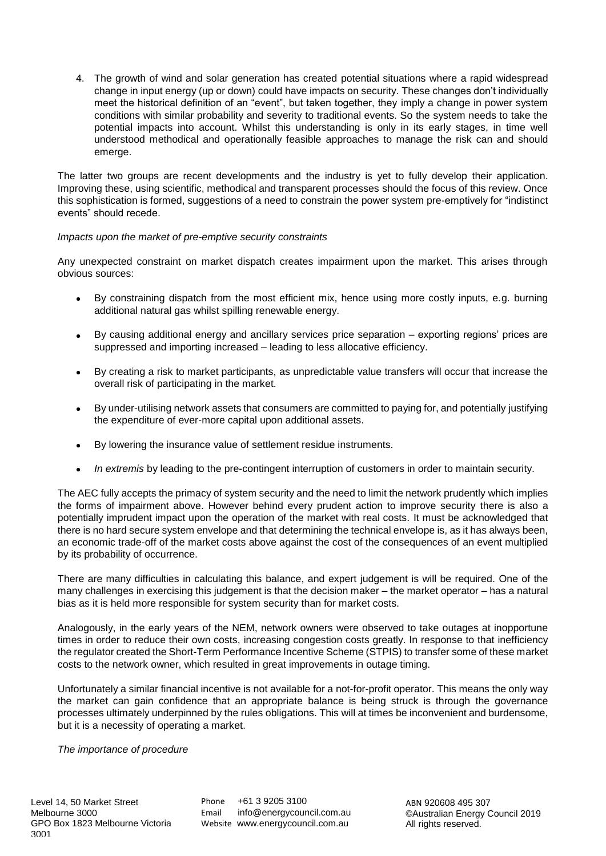4. The growth of wind and solar generation has created potential situations where a rapid widespread change in input energy (up or down) could have impacts on security. These changes don't individually meet the historical definition of an "event", but taken together, they imply a change in power system conditions with similar probability and severity to traditional events. So the system needs to take the potential impacts into account. Whilst this understanding is only in its early stages, in time well understood methodical and operationally feasible approaches to manage the risk can and should emerge.

The latter two groups are recent developments and the industry is yet to fully develop their application. Improving these, using scientific, methodical and transparent processes should the focus of this review. Once this sophistication is formed, suggestions of a need to constrain the power system pre-emptively for "indistinct events" should recede.

## *Impacts upon the market of pre-emptive security constraints*

Any unexpected constraint on market dispatch creates impairment upon the market. This arises through obvious sources:

- By constraining dispatch from the most efficient mix, hence using more costly inputs, e.g. burning additional natural gas whilst spilling renewable energy.
- By causing additional energy and ancillary services price separation exporting regions' prices are suppressed and importing increased – leading to less allocative efficiency.
- By creating a risk to market participants, as unpredictable value transfers will occur that increase the overall risk of participating in the market.
- By under-utilising network assets that consumers are committed to paying for, and potentially justifying the expenditure of ever-more capital upon additional assets.
- By lowering the insurance value of settlement residue instruments.
- *In extremis* by leading to the pre-contingent interruption of customers in order to maintain security.

The AEC fully accepts the primacy of system security and the need to limit the network prudently which implies the forms of impairment above. However behind every prudent action to improve security there is also a potentially imprudent impact upon the operation of the market with real costs. It must be acknowledged that there is no hard secure system envelope and that determining the technical envelope is, as it has always been, an economic trade-off of the market costs above against the cost of the consequences of an event multiplied by its probability of occurrence.

There are many difficulties in calculating this balance, and expert judgement is will be required. One of the many challenges in exercising this judgement is that the decision maker – the market operator – has a natural bias as it is held more responsible for system security than for market costs.

Analogously, in the early years of the NEM, network owners were observed to take outages at inopportune times in order to reduce their own costs, increasing congestion costs greatly. In response to that inefficiency the regulator created the Short-Term Performance Incentive Scheme (STPIS) to transfer some of these market costs to the network owner, which resulted in great improvements in outage timing.

Unfortunately a similar financial incentive is not available for a not-for-profit operator. This means the only way the market can gain confidence that an appropriate balance is being struck is through the governance processes ultimately underpinned by the rules obligations. This will at times be inconvenient and burdensome, but it is a necessity of operating a market.

# *The importance of procedure*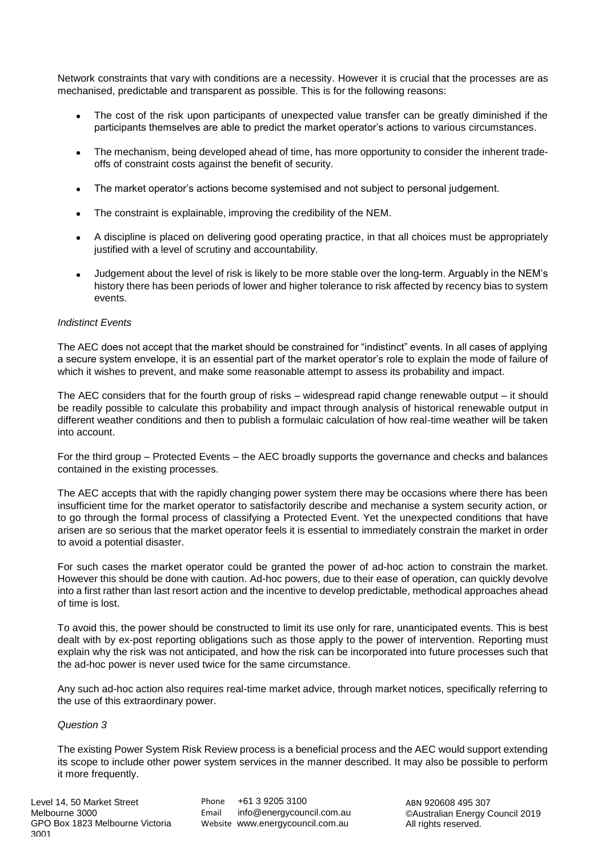Network constraints that vary with conditions are a necessity. However it is crucial that the processes are as mechanised, predictable and transparent as possible. This is for the following reasons:

- The cost of the risk upon participants of unexpected value transfer can be greatly diminished if the participants themselves are able to predict the market operator's actions to various circumstances.
- The mechanism, being developed ahead of time, has more opportunity to consider the inherent tradeoffs of constraint costs against the benefit of security.
- The market operator's actions become systemised and not subject to personal judgement.
- The constraint is explainable, improving the credibility of the NEM.
- A discipline is placed on delivering good operating practice, in that all choices must be appropriately justified with a level of scrutiny and accountability.
- Judgement about the level of risk is likely to be more stable over the long-term. Arguably in the NEM's history there has been periods of lower and higher tolerance to risk affected by recency bias to system events.

## *Indistinct Events*

The AEC does not accept that the market should be constrained for "indistinct" events. In all cases of applying a secure system envelope, it is an essential part of the market operator's role to explain the mode of failure of which it wishes to prevent, and make some reasonable attempt to assess its probability and impact.

The AEC considers that for the fourth group of risks – widespread rapid change renewable output – it should be readily possible to calculate this probability and impact through analysis of historical renewable output in different weather conditions and then to publish a formulaic calculation of how real-time weather will be taken into account.

For the third group – Protected Events – the AEC broadly supports the governance and checks and balances contained in the existing processes.

The AEC accepts that with the rapidly changing power system there may be occasions where there has been insufficient time for the market operator to satisfactorily describe and mechanise a system security action, or to go through the formal process of classifying a Protected Event. Yet the unexpected conditions that have arisen are so serious that the market operator feels it is essential to immediately constrain the market in order to avoid a potential disaster.

For such cases the market operator could be granted the power of ad-hoc action to constrain the market. However this should be done with caution. Ad-hoc powers, due to their ease of operation, can quickly devolve into a first rather than last resort action and the incentive to develop predictable, methodical approaches ahead of time is lost.

To avoid this, the power should be constructed to limit its use only for rare, unanticipated events. This is best dealt with by ex-post reporting obligations such as those apply to the power of intervention. Reporting must explain why the risk was not anticipated, and how the risk can be incorporated into future processes such that the ad-hoc power is never used twice for the same circumstance.

Any such ad-hoc action also requires real-time market advice, through market notices, specifically referring to the use of this extraordinary power.

#### *Question 3*

The existing Power System Risk Review process is a beneficial process and the AEC would support extending its scope to include other power system services in the manner described. It may also be possible to perform it more frequently.

Phone +61 3 9205 3100 Email info@energycouncil.com.au Website www.energycouncil.com.au

ABN 920608 495 307 ©Australian Energy Council 2019 All rights reserved.